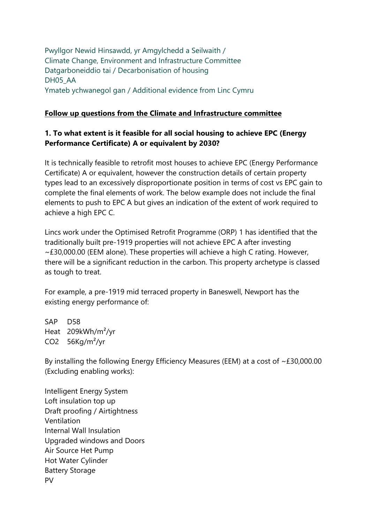Pwyllgor Newid Hinsawdd, yr Amgylchedd a Seilwaith / Climate Change, Environment and Infrastructure Committee Datgarboneiddio tai / Decarbonisation of housing DH05\_AA Ymateb ychwanegol gan / Additional evidence from Linc Cymru

#### **Follow up questions from the Climate and Infrastructure committee**

#### **1. To what extent is it feasible for all social housing to achieve EPC (Energy Performance Certificate) A or equivalent by 2030?**

It is technically feasible to retrofit most houses to achieve EPC (Energy Performance Certificate) A or equivalent, however the construction details of certain property types lead to an excessively disproportionate position in terms of cost vs EPC gain to complete the final elements of work. The below example does not include the final elements to push to EPC A but gives an indication of the extent of work required to achieve a high EPC C.

Lincs work under the Optimised Retrofit Programme (ORP) 1 has identified that the traditionally built pre-1919 properties will not achieve EPC A after investing ~£30,000.00 (EEM alone). These properties will achieve a high C rating. However, there will be a significant reduction in the carbon. This property archetype is classed as tough to treat.

For example, a pre-1919 mid terraced property in Baneswell, Newport has the existing energy performance of:

SAP D58 Heat 209kWh/m²/yr CO2 56Kg/m²/yr

By installing the following Energy Efficiency Measures (EEM) at a cost of ~£30,000.00 (Excluding enabling works):

Intelligent Energy System Loft insulation top up Draft proofing / Airtightness Ventilation Internal Wall Insulation Upgraded windows and Doors Air Source Het Pump Hot Water Cylinder Battery Storage PV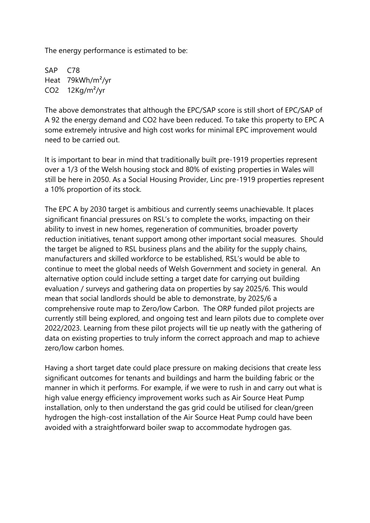The energy performance is estimated to be:

SAP C78 Heat 79kWh/m²/yr CO2 12Kg/m²/yr

The above demonstrates that although the EPC/SAP score is still short of EPC/SAP of A 92 the energy demand and CO2 have been reduced. To take this property to EPC A some extremely intrusive and high cost works for minimal EPC improvement would need to be carried out.

It is important to bear in mind that traditionally built pre-1919 properties represent over a 1/3 of the Welsh housing stock and 80% of existing properties in Wales will still be here in 2050. As a Social Housing Provider, Linc pre-1919 properties represent a 10% proportion of its stock.

The EPC A by 2030 target is ambitious and currently seems unachievable. It places significant financial pressures on RSL's to complete the works, impacting on their ability to invest in new homes, regeneration of communities, broader poverty reduction initiatives, tenant support among other important social measures. Should the target be aligned to RSL business plans and the ability for the supply chains, manufacturers and skilled workforce to be established, RSL's would be able to continue to meet the global needs of Welsh Government and society in general. An alternative option could include setting a target date for carrying out building evaluation / surveys and gathering data on properties by say 2025/6. This would mean that social landlords should be able to demonstrate, by 2025/6 a comprehensive route map to Zero/low Carbon. The ORP funded pilot projects are currently still being explored, and ongoing test and learn pilots due to complete over 2022/2023. Learning from these pilot projects will tie up neatly with the gathering of data on existing properties to truly inform the correct approach and map to achieve zero/low carbon homes.

Having a short target date could place pressure on making decisions that create less significant outcomes for tenants and buildings and harm the building fabric or the manner in which it performs. For example, if we were to rush in and carry out what is high value energy efficiency improvement works such as Air Source Heat Pump installation, only to then understand the gas grid could be utilised for clean/green hydrogen the high-cost installation of the Air Source Heat Pump could have been avoided with a straightforward boiler swap to accommodate hydrogen gas.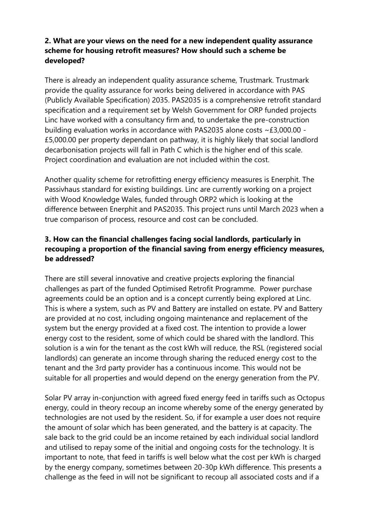# **2. What are your views on the need for a new independent quality assurance scheme for housing retrofit measures? How should such a scheme be developed?**

There is already an independent quality assurance scheme, Trustmark. Trustmark provide the quality assurance for works being delivered in accordance with PAS (Publicly Available Specification) 2035. PAS2035 is a comprehensive retrofit standard specification and a requirement set by Welsh Government for ORP funded projects Linc have worked with a consultancy firm and, to undertake the pre-construction building evaluation works in accordance with PAS2035 alone costs ~£3,000.00 - £5,000.00 per property dependant on pathway, it is highly likely that social landlord decarbonisation projects will fall in Path C which is the higher end of this scale. Project coordination and evaluation are not included within the cost.

Another quality scheme for retrofitting energy efficiency measures is Enerphit. The Passivhaus standard for existing buildings. Linc are currently working on a project with Wood Knowledge Wales, funded through ORP2 which is looking at the difference between Enerphit and PAS2035. This project runs until March 2023 when a true comparison of process, resource and cost can be concluded.

# **3. How can the financial challenges facing social landlords, particularly in recouping a proportion of the financial saving from energy efficiency measures, be addressed?**

There are still several innovative and creative projects exploring the financial challenges as part of the funded Optimised Retrofit Programme. Power purchase agreements could be an option and is a concept currently being explored at Linc. This is where a system, such as PV and Battery are installed on estate. PV and Battery are provided at no cost, including ongoing maintenance and replacement of the system but the energy provided at a fixed cost. The intention to provide a lower energy cost to the resident, some of which could be shared with the landlord. This solution is a win for the tenant as the cost kWh will reduce, the RSL (registered social landlords) can generate an income through sharing the reduced energy cost to the tenant and the 3rd party provider has a continuous income. This would not be suitable for all properties and would depend on the energy generation from the PV.

Solar PV array in-conjunction with agreed fixed energy feed in tariffs such as Octopus energy, could in theory recoup an income whereby some of the energy generated by technologies are not used by the resident. So, if for example a user does not require the amount of solar which has been generated, and the battery is at capacity. The sale back to the grid could be an income retained by each individual social landlord and utilised to repay some of the initial and ongoing costs for the technology. It is important to note, that feed in tariffs is well below what the cost per kWh is charged by the energy company, sometimes between 20-30p kWh difference. This presents a challenge as the feed in will not be significant to recoup all associated costs and if a